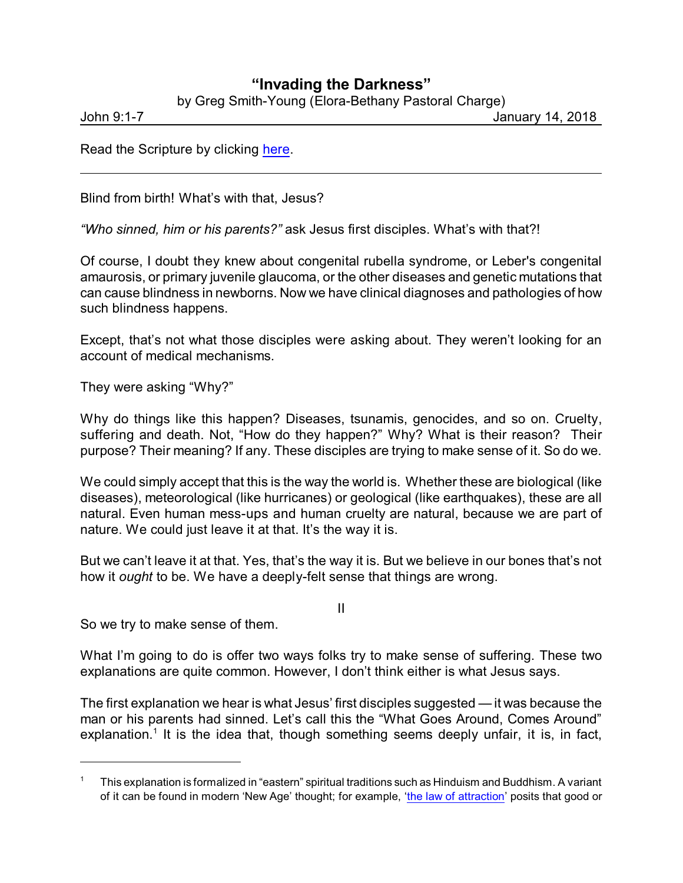## **"Invading the Darkness"**

by Greg Smith-Young (Elora-Bethany Pastoral Charge)

John 9:1-7 January 14, 2018

Read the Scripture by clicking [here](https://www.biblegateway.com/passage/?search=John+9%3A1-7&version=ESV).

Blind from birth! What's with that, Jesus?

*"Who sinned, him or his parents?"* ask Jesus first disciples. What's with that?!

Of course, I doubt they knew about congenital rubella syndrome, or Leber's congenital amaurosis, or primary juvenile glaucoma, or the other diseases and genetic mutations that can cause blindness in newborns. Now we have clinical diagnoses and pathologies of how such blindness happens.

Except, that's not what those disciples were asking about. They weren't looking for an account of medical mechanisms.

They were asking "Why?"

Why do things like this happen? Diseases, tsunamis, genocides, and so on. Cruelty, suffering and death. Not, "How do they happen?" Why? What is their reason? Their purpose? Their meaning? If any. These disciples are trying to make sense of it. So do we.

We could simply accept that this is the way the world is. Whether these are biological (like diseases), meteorological (like hurricanes) or geological (like earthquakes), these are all natural. Even human mess-ups and human cruelty are natural, because we are part of nature. We could just leave it at that. It's the way it is.

But we can't leave it at that. Yes, that's the way it is. But we believe in our bones that's not how it *ought* to be. We have a deeply-felt sense that things are wrong.

II

So we try to make sense of them.

What I'm going to do is offer two ways folks try to make sense of suffering. These two explanations are quite common. However, I don't think either is what Jesus says.

The first explanation we hear is what Jesus' first disciples suggested — it was because the man or his parents had sinned. Let's call this the "What Goes Around, Comes Around" explanation.<sup>1</sup> It is the idea that, though something seems deeply unfair, it is, in fact,

<sup>1</sup> This explanation is formalized in "eastern" spiritual traditions such as Hinduism and Buddhism. A variant of it can be found in modern 'New Age' thought; for example, 'the law of [attraction](https://en.wikipedia.org/wiki/Law_of_attraction_(New_Thought))' posits that good or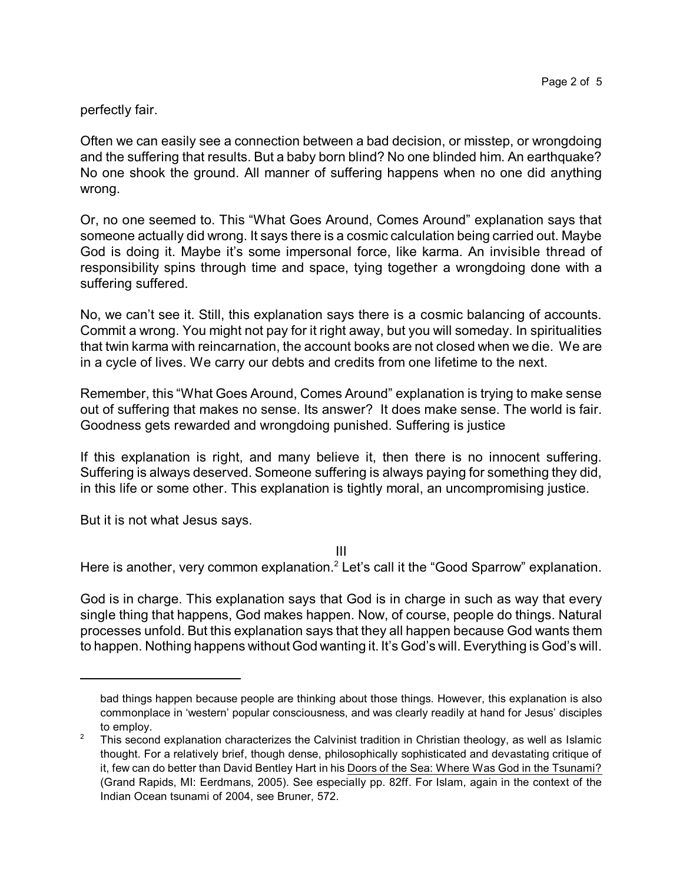## perfectly fair.

Often we can easily see a connection between a bad decision, or misstep, or wrongdoing and the suffering that results. But a baby born blind? No one blinded him. An earthquake? No one shook the ground. All manner of suffering happens when no one did anything wrong.

Or, no one seemed to. This "What Goes Around, Comes Around" explanation says that someone actually did wrong. It says there is a cosmic calculation being carried out. Maybe God is doing it. Maybe it's some impersonal force, like karma. An invisible thread of responsibility spins through time and space, tying together a wrongdoing done with a suffering suffered.

No, we can't see it. Still, this explanation says there is a cosmic balancing of accounts. Commit a wrong. You might not pay for it right away, but you will someday. In spiritualities that twin karma with reincarnation, the account books are not closed when we die. We are in a cycle of lives. We carry our debts and credits from one lifetime to the next.

Remember, this "What Goes Around, Comes Around" explanation is trying to make sense out of suffering that makes no sense. Its answer? It does make sense. The world is fair. Goodness gets rewarded and wrongdoing punished. Suffering is justice

If this explanation is right, and many believe it, then there is no innocent suffering. Suffering is always deserved. Someone suffering is always paying for something they did, in this life or some other. This explanation is tightly moral, an uncompromising justice.

But it is not what Jesus says.

III

Here is another, very common explanation.<sup>2</sup> Let's call it the "Good Sparrow" explanation.

God is in charge. This explanation says that God is in charge in such as way that every single thing that happens, God makes happen. Now, of course, people do things. Natural processes unfold. But this explanation says that they all happen because God wants them to happen. Nothing happens without God wanting it. It's God's will. Everything is God's will.

bad things happen because people are thinking about those things. However, this explanation is also commonplace in 'western' popular consciousness, and was clearly readily at hand for Jesus' disciples to employ.

<sup>&</sup>lt;sup>2</sup> This second explanation characterizes the Calvinist tradition in Christian theology, as well as Islamic thought. For a relatively brief, though dense, philosophically sophisticated and devastating critique of it, few can do better than David Bentley Hart in his Doors of the Sea: Where Was God in the Tsunami? (Grand Rapids, MI: Eerdmans, 2005). See especially pp. 82ff. For Islam, again in the context of the Indian Ocean tsunami of 2004, see Bruner, 572.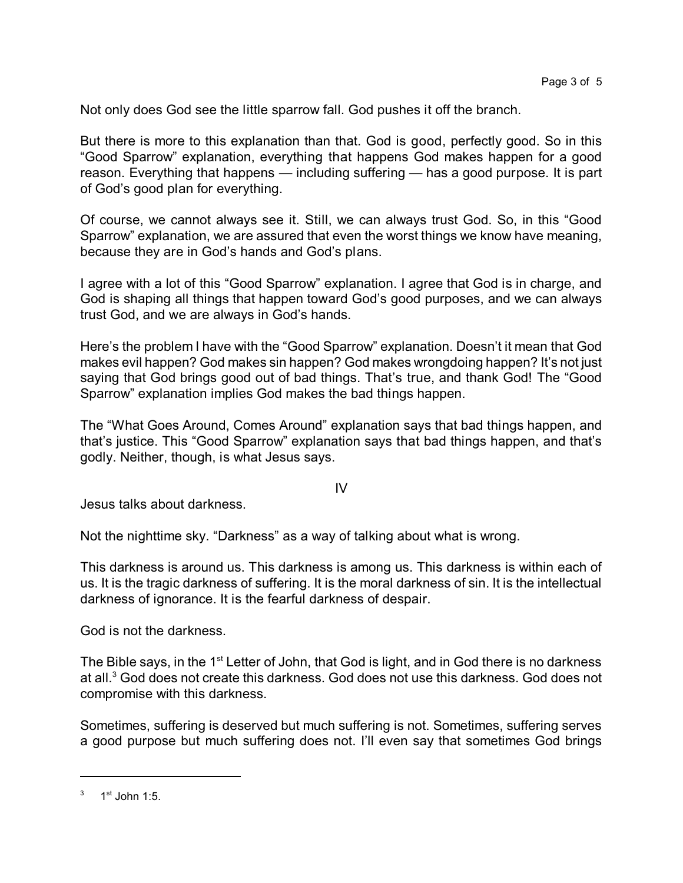Not only does God see the little sparrow fall. God pushes it off the branch.

But there is more to this explanation than that. God is good, perfectly good. So in this "Good Sparrow" explanation, everything that happens God makes happen for a good reason. Everything that happens — including suffering — has a good purpose. It is part of God's good plan for everything.

Of course, we cannot always see it. Still, we can always trust God. So, in this "Good Sparrow" explanation, we are assured that even the worst things we know have meaning, because they are in God's hands and God's plans.

I agree with a lot of this "Good Sparrow" explanation. I agree that God is in charge, and God is shaping all things that happen toward God's good purposes, and we can always trust God, and we are always in God's hands.

Here's the problem I have with the "Good Sparrow" explanation. Doesn't it mean that God makes evil happen? God makes sin happen? God makes wrongdoing happen? It's not just saying that God brings good out of bad things. That's true, and thank God! The "Good Sparrow" explanation implies God makes the bad things happen.

The "What Goes Around, Comes Around" explanation says that bad things happen, and that's justice. This "Good Sparrow" explanation says that bad things happen, and that's godly. Neither, though, is what Jesus says.

IV

Jesus talks about darkness.

Not the nighttime sky. "Darkness" as a way of talking about what is wrong.

This darkness is around us. This darkness is among us. This darkness is within each of us. It is the tragic darkness of suffering. It is the moral darkness of sin. It is the intellectual darkness of ignorance. It is the fearful darkness of despair.

God is not the darkness.

The Bible says, in the 1<sup>st</sup> Letter of John, that God is light, and in God there is no darkness at all.<sup>3</sup> God does not create this darkness. God does not use this darkness. God does not compromise with this darkness.

Sometimes, suffering is deserved but much suffering is not. Sometimes, suffering serves a good purpose but much suffering does not. I'll even say that sometimes God brings

 $3$  1<sup>st</sup> John 1:5.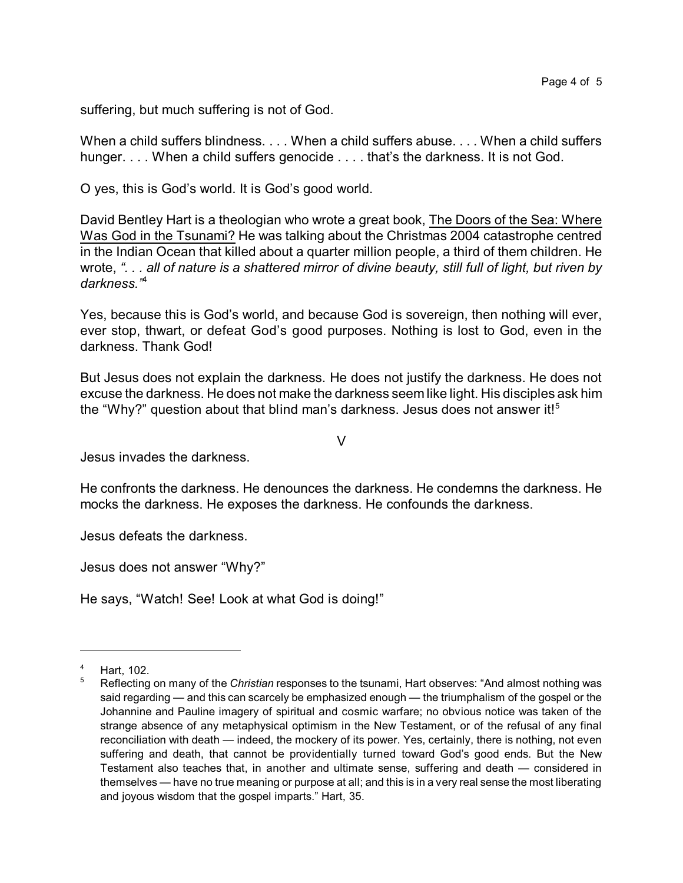suffering, but much suffering is not of God.

When a child suffers blindness. . . . When a child suffers abuse. . . . When a child suffers hunger. . . . When a child suffers genocide . . . . that's the darkness. It is not God.

O yes, this is God's world. It is God's good world.

David Bentley Hart is a theologian who wrote a great book, The Doors of the Sea: Where Was God in the Tsunami? He was talking about the Christmas 2004 catastrophe centred in the Indian Ocean that killed about a quarter million people, a third of them children. He wrote, *". . . all of nature is a shattered mirror of divine beauty, still full of light, but riven by darkness."*<sup>4</sup>

Yes, because this is God's world, and because God is sovereign, then nothing will ever, ever stop, thwart, or defeat God's good purposes. Nothing is lost to God, even in the darkness. Thank God!

But Jesus does not explain the darkness. He does not justify the darkness. He does not excuse the darkness. He does not make the darkness seem like light. His disciples ask him the "Why?" question about that blind man's darkness. Jesus does not answer it! $5$ 

V

Jesus invades the darkness.

He confronts the darkness. He denounces the darkness. He condemns the darkness. He mocks the darkness. He exposes the darkness. He confounds the darkness.

Jesus defeats the darkness.

Jesus does not answer "Why?"

He says, "Watch! See! Look at what God is doing!"

<sup>4</sup> Hart, 102.

<sup>5</sup> Reflecting on many of the *Christian* responses to the tsunami, Hart observes: "And almost nothing was said regarding — and this can scarcely be emphasized enough — the triumphalism of the gospel or the Johannine and Pauline imagery of spiritual and cosmic warfare; no obvious notice was taken of the strange absence of any metaphysical optimism in the New Testament, or of the refusal of any final reconciliation with death — indeed, the mockery of its power. Yes, certainly, there is nothing, not even suffering and death, that cannot be providentially turned toward God's good ends. But the New Testament also teaches that, in another and ultimate sense, suffering and death — considered in themselves — have no true meaning or purpose at all; and this is in a very real sense the most liberating and joyous wisdom that the gospel imparts." Hart, 35.